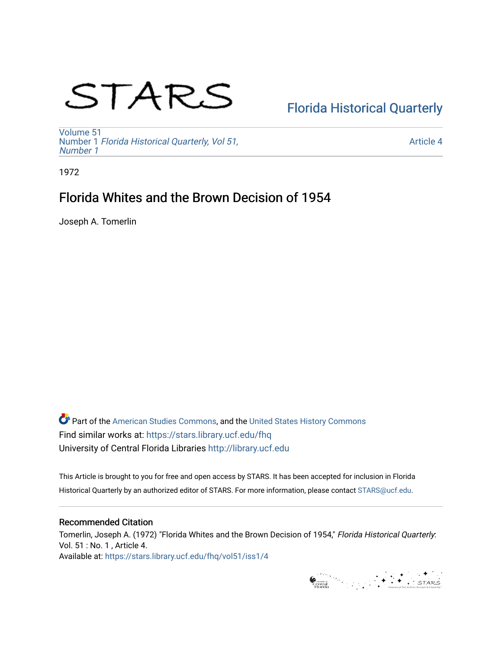# STARS

# [Florida Historical Quarterly](https://stars.library.ucf.edu/fhq)

[Volume 51](https://stars.library.ucf.edu/fhq/vol51) Number 1 [Florida Historical Quarterly, Vol 51,](https://stars.library.ucf.edu/fhq/vol51/iss1)  [Number 1](https://stars.library.ucf.edu/fhq/vol51/iss1)

[Article 4](https://stars.library.ucf.edu/fhq/vol51/iss1/4) 

1972

# Florida Whites and the Brown Decision of 1954

Joseph A. Tomerlin

**C** Part of the [American Studies Commons](http://network.bepress.com/hgg/discipline/439?utm_source=stars.library.ucf.edu%2Ffhq%2Fvol51%2Fiss1%2F4&utm_medium=PDF&utm_campaign=PDFCoverPages), and the United States History Commons Find similar works at: <https://stars.library.ucf.edu/fhq> University of Central Florida Libraries [http://library.ucf.edu](http://library.ucf.edu/) 

This Article is brought to you for free and open access by STARS. It has been accepted for inclusion in Florida Historical Quarterly by an authorized editor of STARS. For more information, please contact [STARS@ucf.edu.](mailto:STARS@ucf.edu)

# Recommended Citation

Tomerlin, Joseph A. (1972) "Florida Whites and the Brown Decision of 1954," Florida Historical Quarterly: Vol. 51 : No. 1 , Article 4. Available at: [https://stars.library.ucf.edu/fhq/vol51/iss1/4](https://stars.library.ucf.edu/fhq/vol51/iss1/4?utm_source=stars.library.ucf.edu%2Ffhq%2Fvol51%2Fiss1%2F4&utm_medium=PDF&utm_campaign=PDFCoverPages) 

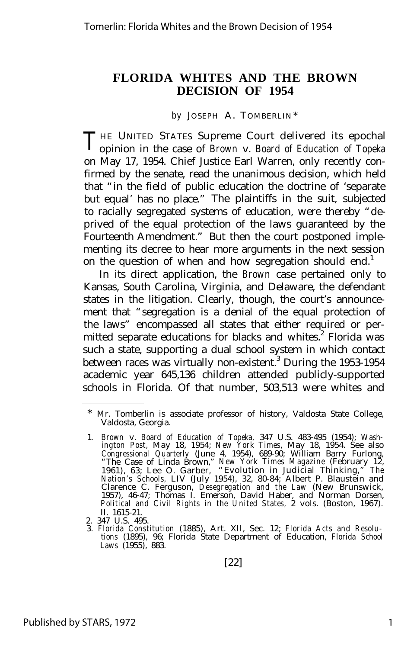# **FLORIDA WHITES AND THE BROWN DECISION OF 1954**

by JOSEPH A. TOMBERLIN<sup>\*</sup>

THE UNITED STATES Supreme Court delivered its epochal<br>
opinion in the case of *Brown v. Board of Education of Topeka* opinion in the case of *Brown* v. *Board of Education of Topeka* on May 17, 1954. Chief Justice Earl Warren, only recently confirmed by the senate, read the unanimous decision, which held that "in the field of public education the doctrine of 'separate but equal' has no place." The plaintiffs in the suit, subjected to racially segregated systems of education, were thereby "deprived of the equal protection of the laws guaranteed by the Fourteenth Amendment." But then the court postponed implementing its decree to hear more arguments in the next session on the question of when and how segregation should end.<sup>1</sup>

In its direct application, the *Brown* case pertained only to Kansas, South Carolina, Virginia, and Delaware, the defendant states in the litigation. Clearly, though, the court's announcement that "segregation is a denial of the equal protection of the laws" encompassed all states that either required or permitted separate educations for blacks and whites.<sup>2</sup> Florida was such a state, supporting a dual school system in which contact between races was virtually non-existent.<sup>3</sup> During the 1953-1954 academic year 645,136 children attended publicly-supported schools in Florida. Of that number, 503,513 were whites and

<sup>\*</sup> Mr. Tomberlin is associate professor of history, Valdosta State College, Valdosta, Georgia.

<sup>1.</sup> *Brown* v. *Board of Education of Topeka,* 347 U.S. 483-495 (1954); *Wash-ington Post,* May 18, 1954; *New York Times,* May 18, 1954. See also *Congressional Quarterly* (June 4, 1954), 689-90; William Barry Furlong, "The Case of Linda Brown," 1961), 63; Lee O. Garber, *New York Times Magazine* (February 12, "Evolution in Judicial Thinking," *The Nation's Schools,* LIV (July 1954), 32, 80-84; Albert P. Blaustein and Clarence C. Ferguson, *Desegregation and the Law* (New Brunswick, 1957), 46-47; Thomas I. Emerson, David Haber, and Norman Dorsen, *Political and Civil Rights in the United States,* 2 vols. (Boston, 1967). II. 1615-21.

<sup>2. 347</sup> U.S. 495.

<sup>3.</sup> *Florida Constitution* (1885), Art. XII, Sec. 12; *Florida Acts and Resolutions* (1895), 96; Florida State Department of Education, *Florida School Laws* (1955), 883.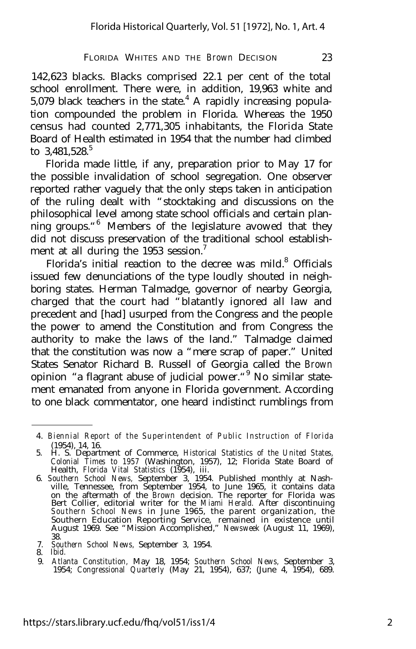142,623 blacks. Blacks comprised 22.1 per cent of the total school enrollment. There were, in addition, 19,963 white and  $5,079$  black teachers in the state.<sup>4</sup> A rapidly increasing population compounded the problem in Florida. Whereas the 1950 census had counted 2,771,305 inhabitants, the Florida State Board of Health estimated in 1954 that the number had climbed to  $3.481.528$ <sup>5</sup>

Florida made little, if any, preparation prior to May 17 for the possible invalidation of school segregation. One observer reported rather vaguely that the only steps taken in anticipation of the ruling dealt with "stocktaking and discussions on the philosophical level among state school officials and certain planning groups."<sup>6</sup> Members of the legislature avowed that they did not discuss preservation of the traditional school establishment at all during the 1953 session.<sup>7</sup>

Florida's initial reaction to the decree was mild.<sup>8</sup> Officials issued few denunciations of the type loudly shouted in neighboring states. Herman Talmadge, governor of nearby Georgia, charged that the court had "blatantly ignored all law and precedent and [had] usurped from the Congress and the people the power to amend the Constitution and from Congress the authority to make the laws of the land." Talmadge claimed that the constitution was now a "mere scrap of paper." United States Senator Richard B. Russell of Georgia called the *Brown* opinion "a flagrant abuse of judicial power."<sup>9</sup> No similar statement emanated from anyone in Florida government. According to one black commentator, one heard indistinct rumblings from

<sup>4.</sup> *Biennial Report of the Superintendent of Public Instruction of Florida*

<sup>(1954), 14, 16.</sup> 5. H. S. Department of Commerce, *Historical Statistics of the United States, Colonial Times to 1957* (Washington, 1957), 12; Florida State Board of Health, *Florida Vital Statistics* (1954), iii.

<sup>6.</sup> *Southern School News,* September 3, 1954. Published monthly at Nash-ville, Tennessee, from September 1954, to June 1965, it contains data on the aftermath of the *Brown* decision. The reporter for Florida was Bert Collier, editorial writer for the *Miami Herald.* After discontinuing *Southern School News* in June 1965, the parent organization, the Southern Education Reporting Service, remained in existence until August 1969. See "Mission Accomplished," *Newsweek* (August 11, 1969),

<sup>38.</sup> 7. *Southern School News,* September 3, 1954. 8. *Ibid.*

<sup>9.</sup> *Atlanta Constitution,* May 18, 1954; *Southern School News,* September 3, 1954; *Congressional Quarterly* (May 21, 1954), 637; (June 4, 1954), 689.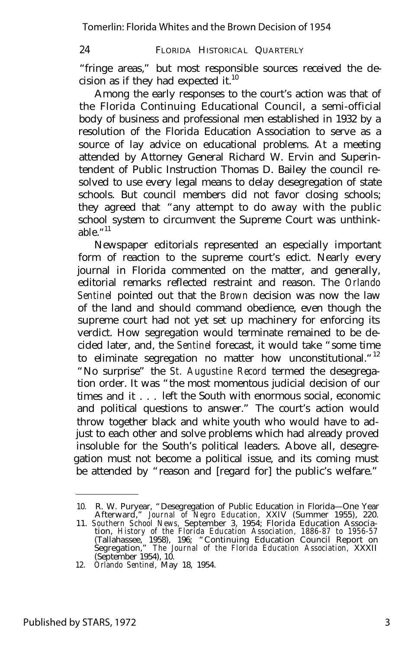"fringe areas," but most responsible sources received the decision as if they had expected it. $^{10}$ 

Among the early responses to the court's action was that of the Florida Continuing Educational Council, a semi-official body of business and professional men established in 1932 by a resolution of the Florida Education Association to serve as a source of lay advice on educational problems. At a meeting attended by Attorney General Richard W. Ervin and Superintendent of Public Instruction Thomas D. Bailey the council resolved to use every legal means to delay desegregation of state schools. But council members did not favor closing schools; they agreed that "any attempt to do away with the public school system to circumvent the Supreme Court was unthinkable."<sup>11</sup>

Newspaper editorials represented an especially important form of reaction to the supreme court's edict. Nearly every journal in Florida commented on the matter, and generally, editorial remarks reflected restraint and reason. The *Orlando Sentinel* pointed out that the *Brown* decision was now the law of the land and should command obedience, even though the supreme court had not yet set up machinery for enforcing its verdict. How segregation would terminate remained to be decided later, and, the *Sentinel* forecast, it would take "some time to eliminate segregation no matter how unconstitutional."<sup>12</sup> "No surprise" the *St. Augustine Record* termed the desegregation order. It was "the most momentous judicial decision of our times and it . . . left the South with enormous social, economic and political questions to answer." The court's action would throw together black and white youth who would have to adjust to each other and solve problems which had already proved insoluble for the South's political leaders. Above all, desegregation must not become a political issue, and its coming must be attended by "reason and [regard for] the public's welfare."

<sup>10.</sup> R. W. Puryear, "Desegregation of Public Education in Florida– One Year<br>Afterward," Journal of Negro Education, XXIV (Summer 1955), 220.<br>11. Southern School News, September 3, 1954; Florida Education Association<br>tion,

<sup>(</sup>Tallahassee, 1958), 196; "Continuing Education Council Report on Segregation," *The Journal of the Florida Education Association,* XXXII (September 1954), 10.

<sup>12.</sup> *Orlando Sentinel,* May 18, 1954.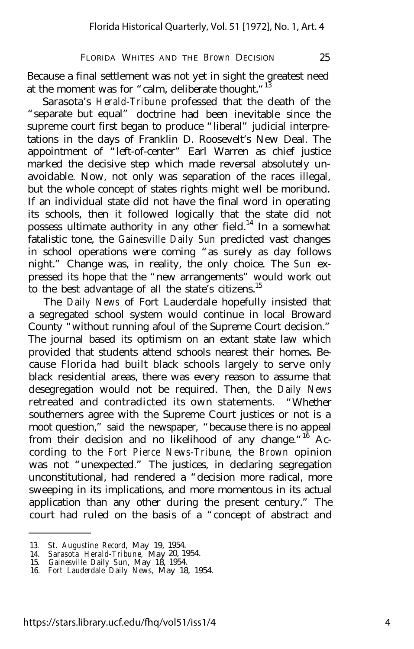Because a final settlement was not yet in sight the greatest need at the moment was for "calm, deliberate thought."<sup>13</sup>

Sarasota's *Herald-Tribune* professed that the death of the "separate but equal" doctrine had been inevitable since the supreme court first began to produce "liberal" judicial interpretations in the days of Franklin D. Roosevelt's New Deal. The appointment of "left-of-center" Earl Warren as chief justice marked the decisive step which made reversal absolutely unavoidable. Now, not only was separation of the races illegal, but the whole concept of states rights might well be moribund. If an individual state did not have the final word in operating its schools, then it followed logically that the state did not possess ultimate authority in any other field.<sup>14</sup> In a somewhat fatalistic tone, the *Gainesville Daily Sun* predicted vast changes in school operations were coming "as surely as day follows night." Change was, in reality, the only choice. The *Sun* expressed its hope that the "new arrangements" would work out to the best advantage of all the state's citizens.<sup>15</sup>

The *Daily News* of Fort Lauderdale hopefully insisted that a segregated school system would continue in local Broward County "without running afoul of the Supreme Court decision." The journal based its optimism on an extant state law which provided that students attend schools nearest their homes. Because Florida had built black schools largely to serve only black residential areas, there was every reason to assume that desegregation would not be required. Then, the *Daily News* retreated and contradicted its own statements. "Whether southerners agree with the Supreme Court justices or not is a moot question," said the newspaper, "because there is no appeal from their decision and no likelihood of any change.  $16$  According to the *Fort Pierce News-Tribune,* the *Brown* opinion was not "unexpected." The justices, in declaring segregation unconstitutional, had rendered a "decision more radical, more sweeping in its implications, and more momentous in its actual application than any other during the present century." The court had ruled on the basis of a "concept of abstract and

<sup>13.</sup> *St. Augustine Record,* May 19, 1954. 14. *Sarasota Herald-Tribune,* May 20, 1954. 15. *Gainesville Daily Sun,* May 18, 1954. 16. *Fort Lauderdale Daily News,* May 18, 1954.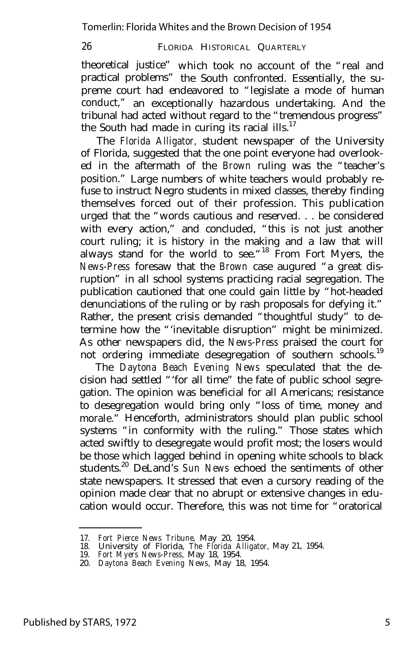theoretical justice" which took no account of the "real and practical problems" the South confronted. Essentially, the supreme court had endeavored to "legislate a mode of human conduct," an exceptionally hazardous undertaking. And the tribunal had acted without regard to the "tremendous progress" the South had made in curing its racial ills. $^{17}$ 

The *Florida Alligator,* student newspaper of the University of Florida, suggested that the one point everyone had overlooked in the aftermath of the *Brown* ruling was the "teacher's position." Large numbers of white teachers would probably refuse to instruct Negro students in mixed classes, thereby finding themselves forced out of their profession. This publication urged that the "words cautious and reserved. . . be considered with every action," and concluded, "this is not just another court ruling; it is history in the making and a law that will always stand for the world to see.<sup>"18</sup> From Fort Myers, the *News-Press* foresaw that the *Brown* case augured "a great disruption" in all school systems practicing racial segregation. The publication cautioned that one could gain little by "hot-headed denunciations of the ruling or by rash proposals for defying it." Rather, the present crisis demanded "thoughtful study" to determine how the "'inevitable disruption" might be minimized. As other newspapers did, the *News-Press* praised the court for not ordering immediate desegregation of southern schools.<sup>19</sup>

The *Daytona Beach Evening News* speculated that the decision had settled "'for all time" the fate of public school segregation. The opinion was beneficial for all Americans; resistance to desegregation would bring only "loss of time, money and morale." Henceforth, administrators should plan public school systems "in conformity with the ruling." Those states which acted swiftly to desegregate would profit most; the losers would be those which lagged behind in opening white schools to black students.<sup>20</sup> DeLand's *Sun News* echoed the sentiments of other state newspapers. It stressed that even a cursory reading of the opinion made clear that no abrupt or extensive changes in education would occur. Therefore, this was not time for "oratorical

<sup>17.</sup> *Fort Pierce News Tribune,* May 20, 1954. 18. University of Florida, *The Florida Alligator,* May 21, 1954. 19. *Fort Myers News-Press,* May 18, 1954. 20. *Daytona Beach Evening News,* May 18, 1954.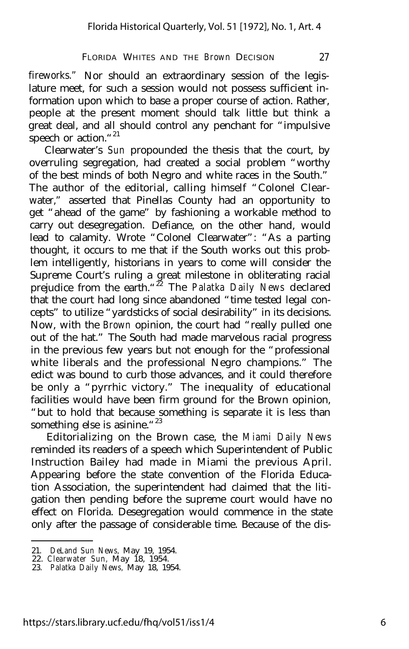fireworks." Nor should an extraordinary session of the legislature meet, for such a session would not possess sufficient information upon which to base a proper course of action. Rather, people at the present moment should talk little but think a great deal, and all should control any penchant for "impulsive speech or action."<sup>21</sup>

Clearwater's *Sun* propounded the thesis that the court, by overruling segregation, had created a social problem "worthy of the best minds of both Negro and white races in the South." The author of the editorial, calling himself "Colonel Clearwater," asserted that Pinellas County had an opportunity to get "ahead of the game" by fashioning a workable method to carry out desegregation. Defiance, on the other hand, would lead to calamity. Wrote "Colonel Clearwater": "As a parting thought, it occurs to me that if the South works out this problem intelligently, historians in years to come will consider the Supreme Court's ruling a great milestone in obliterating racial prejudice from the earth."<sup>22</sup> The *Palatka Daily News* declared that the court had long since abandoned "time tested legal concepts" to utilize "yardsticks of social desirability" in its decisions. Now, with the *Brown* opinion, the court had "really pulled one out of the hat." The South had made marvelous racial progress in the previous few years but not enough for the "professional white liberals and the professional Negro champions." The edict was bound to curb those advances, and it could therefore be only a "pyrrhic victory." The inequality of educational facilities would have been firm ground for the Brown opinion, "but to hold that because something is separate it is less than something else is asinine.  $4^{23}$ 

Editorializing on the Brown case, the *Miami Daily News* reminded its readers of a speech which Superintendent of Public Instruction Bailey had made in Miami the previous April. Appearing before the state convention of the Florida Education Association, the superintendent had claimed that the litigation then pending before the supreme court would have no effect on Florida. Desegregation would commence in the state only after the passage of considerable time. Because of the dis-

<sup>21.</sup> *DeLand Sun News,* May 19, 1954.

<sup>22.</sup> *Clearwater Sun,* May 18, 1954.

<sup>23.</sup> *Palatka Daily News,* May 18, 1954.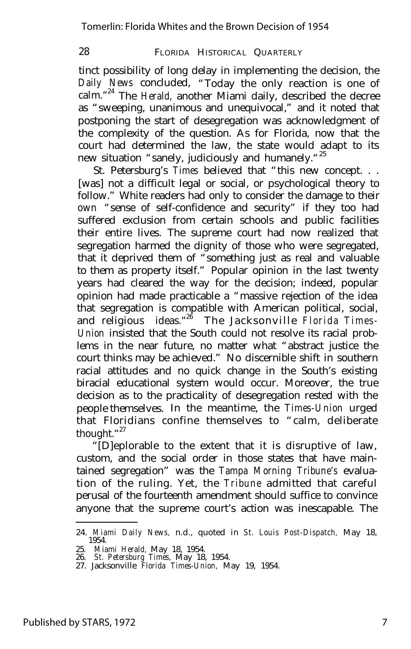tinct possibility of long delay in implementing the decision, the *Daily News* concluded, "Today the only reaction is one of calm." <sup>24</sup> The *Herald,* another Miami daily, described the decree as "sweeping, unanimous and unequivocal," and it noted that postponing the start of desegregation was acknowledgment of the complexity of the question. As for Florida, now that the court had determined the law, the state would adapt to its new situation "sanely, judiciously and humanely."<sup>25</sup>

St. Petersburg's *Times* believed that "this new concept. . . [was] not a difficult legal or social, or psychological theory to follow." White readers had only to consider the damage to their own "sense of self-confidence and security" if they too had suffered exclusion from certain schools and public facilities their entire lives. The supreme court had now realized that segregation harmed the dignity of those who were segregated, that it deprived them of "something just as real and valuable to them as property itself." Popular opinion in the last twenty years had cleared the way for the decision; indeed, popular opinion had made practicable a "massive rejection of the idea that segregation is compatible with American political, social, and religious ideas." <sup>26</sup> The Jacksonville *Florida Times-Union* insisted that the South could not resolve its racial problems in the near future, no matter what "abstract justice the court thinks may be achieved." No discernible shift in southern racial attitudes and no quick change in the South's existing biracial educational system would occur. Moreover, the true decision as to the practicality of desegregation rested with the people themselves. In the meantime, the *Times-Union* urged that Floridians confine themselves to "calm, deliberate thought."<sup>27</sup>

"[D]eplorable to the extent that it is disruptive of law, custom, and the social order in those states that have maintained segregation" was the *Tampa Morning Tribune's* evaluation of the ruling. Yet, the *Tribune* admitted that careful perusal of the fourteenth amendment should suffice to convince anyone that the supreme court's action was inescapable. The

<sup>24.</sup> *Miami Daily News,* n.d., quoted in *St. Louis Post-Dispatch,* May 18, 1954.

<sup>25.</sup> *Miami Herald,* May 18, 1954. 26. *St. Petersburg Times,* May 18, 1954.

<sup>27.</sup> Jacksonville *Florida Times-Union,* May 19, 1954.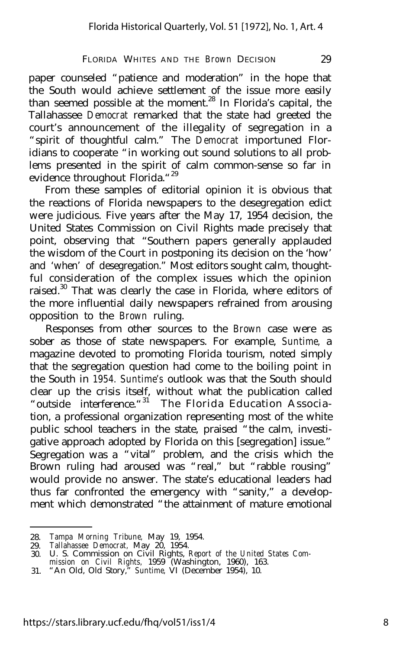paper counseled "patience and moderation" in the hope that the South would achieve settlement of the issue more easily than seemed possible at the moment.<sup>28</sup> In Florida's capital, the Tallahassee *Democrat* remarked that the state had greeted the court's announcement of the illegality of segregation in a "spirit of thoughtful calm." The *Democrat* importuned Floridians to cooperate "in working out sound solutions to all problems presented in the spirit of calm common-sense so far in evidence throughout Florida."<sup>29</sup>

From these samples of editorial opinion it is obvious that the reactions of Florida newspapers to the desegregation edict were judicious. Five years after the May 17, 1954 decision, the United States Commission on Civil Rights made precisely that point, observing that "Southern papers generally applauded the wisdom of the Court in postponing its decision on the 'how' and 'when' of desegregation." Most editors sought calm, thoughtful consideration of the complex issues which the opinion raised.<sup>30</sup> That was clearly the case in Florida, where editors of the more influential daily newspapers refrained from arousing opposition to the *Brown* ruling.

Responses from other sources to the *Brown* case were as sober as those of state newspapers. For example, *Suntime,* a magazine devoted to promoting Florida tourism, noted simply that the segregation question had come to the boiling point in the South in *1954. Suntime's* outlook was that the South should clear up the crisis itself, without what the publication called "outside interference."<sup>31</sup> The Florida Education Association, a professional organization representing most of the white public school teachers in the state, praised "the calm, investigative approach adopted by Florida on this [segregation] issue." Segregation was a "vital" problem, and the crisis which the Brown ruling had aroused was "real," but "rabble rousing" would provide no answer. The state's educational leaders had thus far confronted the emergency with "sanity," a development which demonstrated "the attainment of mature emotional

<sup>28.</sup> *Tampa Morning Tribune,* May 19, 1954.

<sup>29.</sup>

*Tallahassee Democrat,* May 20, 1954. 30. U. S. Commission on Civil Rights, *Report of the United States Com-mission on Civil Rights,* 1959 (Washington, 1960), 163.

<sup>31.</sup> "An Old, Old Story," *Suntime,* VI (December 1954), 10.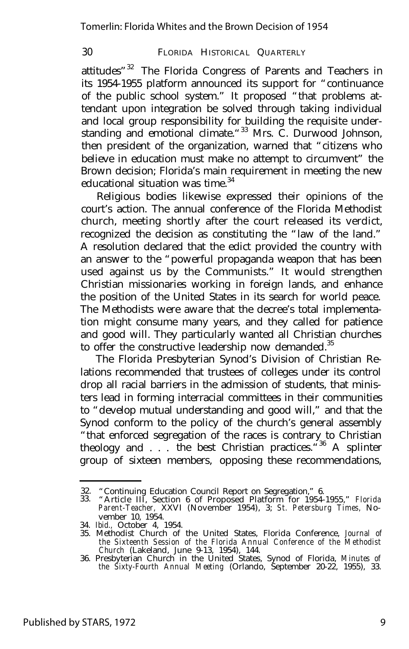attitudes"<sup>32</sup> The Florida Congress of Parents and Teachers in its 1954-1955 platform announced its support for "continuance of the public school system." It proposed "that problems attendant upon integration be solved through taking individual and local group responsibility for building the requisite understanding and emotional climate.<sup>"33</sup> Mrs. C. Durwood Johnson, then president of the organization, warned that "citizens who believe in education must make no attempt to circumvent" the Brown decision; Florida's main requirement in meeting the new educational situation was time. $34$ 

Religious bodies likewise expressed their opinions of the court's action. The annual conference of the Florida Methodist church, meeting shortly after the court released its verdict, recognized the decision as constituting the "law of the land." A resolution declared that the edict provided the country with an answer to the "powerful propaganda weapon that has been used against us by the Communists." It would strengthen Christian missionaries working in foreign lands, and enhance the position of the United States in its search for world peace. The Methodists were aware that the decree's total implementation might consume many years, and they called for patience and good will. They particularly wanted all Christian churches to offer the constructive leadership now demanded. $35$ 

The Florida Presbyterian Synod's Division of Christian Relations recommended that trustees of colleges under its control drop all racial barriers in the admission of students, that ministers lead in forming interracial committees in their communities to "develop mutual understanding and good will," and that the Synod conform to the policy of the church's general assembly "that enforced segregation of the races is contrary to Christian theology and . . . the best Christian practices.<sup>"36</sup> A splinter group of sixteen members, opposing these recommendations,

<sup>32.</sup> "Continuing Education Council Report on Segregation," 6. 33. "Article III, Section 6 of Proposed Platform for 1954-1955," *Florida Parent-Teacher,* XXVI (November 1954), 3; *St. Petersburg Times,* November 10, 1954.

<sup>34.</sup> *Ibid.,* October 4, 1954. 35. Methodist Church of the United States, Florida Conference, *Journal of the Sixteenth Session of the Florida Annual Conference of the Methodist*

*Church* (Lakeland, June 9-13, 1954), 144. 36. Presbyterian Church in the United States, Synod of Florida, *Minutes of the Sixty-Fourth Annual Meeting* (Orlando, September 20-22, 1955), 33.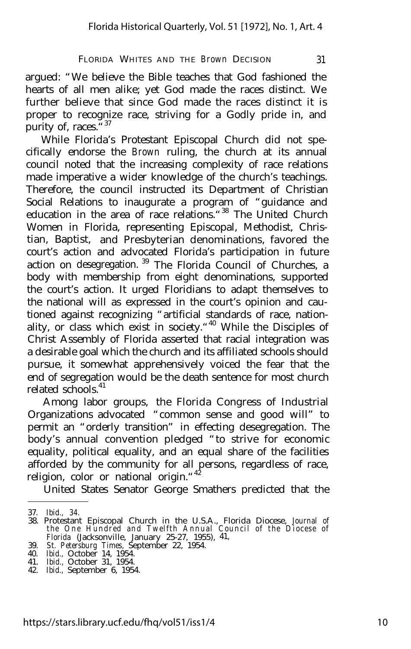argued: "We believe the Bible teaches that God fashioned the hearts of all men alike; yet God made the races distinct. We further believe that since God made the races distinct it is proper to recognize race, striving for a Godly pride in, and purity of, races.<sup>"37</sup>

While Florida's Protestant Episcopal Church did not specifically endorse the *Brown* ruling, the church at its annual council noted that the increasing complexity of race relations made imperative a wider knowledge of the church's teachings. Therefore, the council instructed its Department of Christian Social Relations to inaugurate a program of "guidance and education in the area of race relations.<sup>"38</sup> The United Church Women in Florida, representing Episcopal, Methodist, Christian, Baptist, and Presbyterian denominations, favored the court's action and advocated Florida's participation in future action on desegregation.  $39$  The Florida Council of Churches, a body with membership from eight denominations, supported the court's action. It urged Floridians to adapt themselves to the national will as expressed in the court's opinion and cautioned against recognizing "artificial standards of race, nationality, or class which exist in society.<sup>"40</sup> While the Disciples of Christ Assembly of Florida asserted that racial integration was a desirable goal which the church and its affiliated schools should pursue, it somewhat apprehensively voiced the fear that the end of segregation would be the death sentence for most church related schools.<sup>41</sup>

Among labor groups, the Florida Congress of Industrial Organizations advocated "common sense and good will" to permit an "orderly transition" in effecting desegregation. The body's annual convention pledged "to strive for economic equality, political equality, and an equal share of the facilities afforded by the community for all persons, regardless of race, religion, color or national origin."<sup>42</sup>

United States Senator George Smathers predicted that the

<sup>37.</sup> *Ibid., 34.* 38. Protestant Episcopal Church in the U.S.A., Florida Diocese, Journal of<br>the One Hundred and Twelfth Annual Council of the Diocese of<br>Florida (Jacksonville, January 25-27, 1955), 41,<br>39. St. Petersburg Times, September 2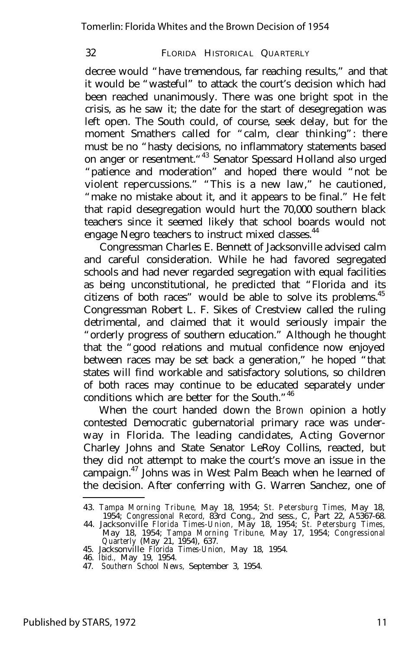decree would "have tremendous, far reaching results," and that it would be "wasteful" to attack the court's decision which had been reached unanimously. There was one bright spot in the crisis, as he saw it; the date for the start of desegregation was left open. The South could, of course, seek delay, but for the moment Smathers called for "calm, clear thinking": there must be no "hasty decisions, no inflammatory statements based on anger or resentment."<sup>43</sup> Senator Spessard Holland also urged "patience and moderation" and hoped there would "not be violent repercussions." "This is a new law," he cautioned, "make no mistake about it, and it appears to be final." He felt that rapid desegregation would hurt the 70,000 southern black teachers since it seemed likely that school boards would not engage Negro teachers to instruct mixed classes.<sup>44</sup>

Congressman Charles E. Bennett of Jacksonville advised calm and careful consideration. While he had favored segregated schools and had never regarded segregation with equal facilities as being unconstitutional, he predicted that "Florida and its citizens of both races" would be able to solve its problems.<sup>45</sup> Congressman Robert L. F. Sikes of Crestview called the ruling detrimental, and claimed that it would seriously impair the "orderly progress of southern education." Although he thought that the "good relations and mutual confidence now enjoyed between races may be set back a generation," he hoped "that states will find workable and satisfactory solutions, so children of both races may continue to be educated separately under conditions which are better for the South."<sup>46</sup>

When the court handed down the *Brown* opinion a hotly contested Democratic gubernatorial primary race was underway in Florida. The leading candidates, Acting Governor Charley Johns and State Senator LeRoy Collins, reacted, but they did not attempt to make the court's move an issue in the campaign.<sup>47</sup> Johns was in West Palm Beach when he learned of the decision. After conferring with G. Warren Sanchez, one of

<sup>43.</sup> *Tampa Morning Tribune,* May 18, 1954; *St. Petersburg Times,* May 18,

<sup>1954;</sup> Congressional Record, 83rd Cong., 2nd sess., C, Part 22, A5367-68.<br>44. Jacksonville Florida Times-Union, May 18, 1954; St. Petersburg Times,<br>May 18, 1954; Tampa Morning Tribune, May 17, 1954; Congressional

*Quarterly* (May 21, 1954), 637. 45. Jacksonville *Florida Times-Union,* May 18, 1954.

<sup>46.</sup> *Ibid.,* May 19, 1954. 47. *Southern School News,* September 3, 1954.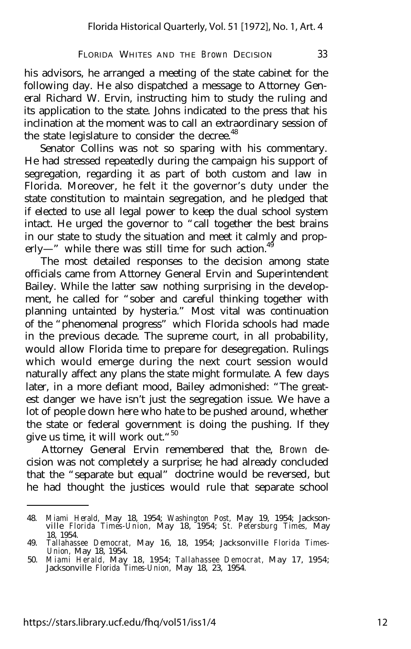his advisors, he arranged a meeting of the state cabinet for the following day. He also dispatched a message to Attorney General Richard W. Ervin, instructing him to study the ruling and its application to the state. Johns indicated to the press that his inclination at the moment was to call an extraordinary session of the state legislature to consider the decree. $48$ 

Senator Collins was not so sparing with his commentary. He had stressed repeatedly during the campaign his support of segregation, regarding it as part of both custom and law in Florida. Moreover, he felt it the governor's duty under the state constitution to maintain segregation, and he pledged that if elected to use all legal power to keep the dual school system intact. He urged the governor to "call together the best brains in our state to study the situation and meet it calmly and properly– " while there was still time for such action. $49$ 

The most detailed responses to the decision among state officials came from Attorney General Ervin and Superintendent Bailey. While the latter saw nothing surprising in the development, he called for "sober and careful thinking together with planning untainted by hysteria." Most vital was continuation of the "phenomenal progress" which Florida schools had made in the previous decade. The supreme court, in all probability, would allow Florida time to prepare for desegregation. Rulings which would emerge during the next court session would naturally affect any plans the state might formulate. A few days later, in a more defiant mood, Bailey admonished: "The greatest danger we have isn't just the segregation issue. We have a lot of people down here who hate to be pushed around, whether the state or federal government is doing the pushing. If they give us time, it will work out."<sup>50</sup>

Attorney General Ervin remembered that the, *Brown* decision was not completely a surprise; he had already concluded that the "separate but equal" doctrine would be reversed, but he had thought the justices would rule that separate school

<sup>48.</sup> *Miami Herald,* May 18, 1954; *Washington Post,* May 19, 1954; Jackson-ville *Florida Times-Union,* May 18, 1954; *St. Petersburg Times,* May 18, 1954.

<sup>49.</sup> *Tallahassee Democrat,* May 16, 18, 1954; Jacksonville *Florida Times-*

*Union,* May 18, 1954. 50. *Miami Herald,* May 18, 1954; *Tallahassee Democrat,* May 17, 1954; Jacksonville *Florida Times-Union,* May 18, 23, 1954.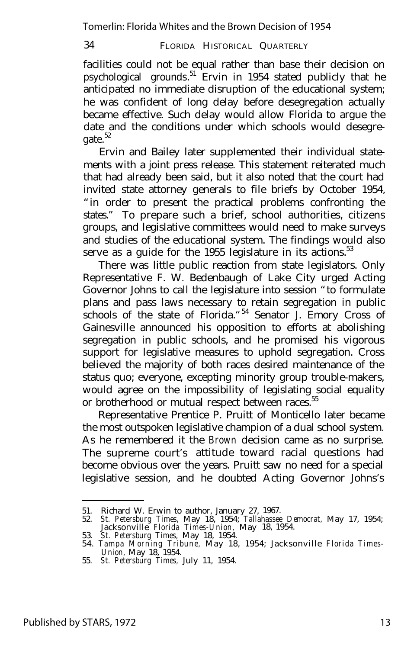facilities could not be equal rather than base their decision on psychological grounds.<sup>51</sup> Ervin in 1954 stated publicly that he anticipated no immediate disruption of the educational system; he was confident of long delay before desegregation actually became effective. Such delay would allow Florida to argue the date and the conditions under which schools would desegregate. $52$ 

Ervin and Bailey later supplemented their individual statements with a joint press release. This statement reiterated much that had already been said, but it also noted that the court had invited state attorney generals to file briefs by October 1954, "in order to present the practical problems confronting the states." To prepare such a brief, school authorities, citizens groups, and legislative committees would need to make surveys and studies of the educational system. The findings would also serve as a guide for the 1955 legislature in its actions.  $53$ 

There was little public reaction from state legislators. Only Representative F. W. Bedenbaugh of Lake City urged Acting Governor Johns to call the legislature into session "to formulate plans and pass laws necessary to retain segregation in public schools of the state of Florida."<sup>54</sup> Senator J. Emory Cross of Gainesville announced his opposition to efforts at abolishing segregation in public schools, and he promised his vigorous support for legislative measures to uphold segregation. Cross believed the majority of both races desired maintenance of the status quo; everyone, excepting minority group trouble-makers, would agree on the impossibility of legislating social equality or brotherhood or mutual respect between races.<sup>55</sup>

Representative Prentice P. Pruitt of Monticello later became the most outspoken legislative champion of a dual school system. As he remembered it the *Brown* decision came as no surprise. The supreme court's attitude toward racial questions had become obvious over the years. Pruitt saw no need for a special legislative session, and he doubted Acting Governor Johns's

<sup>51.</sup> Richard W. Erwin to author, January 27, 1967.<br>52. *St. Petersburg Times*, May 18, 1954; *Tallahassee Democrat,* May 17, 1954;<br>Jacksonville Florida Times-Union, May 18, 1954.<br>53. *St. Petersburg Times, May 18, 1954.*<br>54

<sup>55.</sup> *St. Petersburg Times,* July 11, 1954.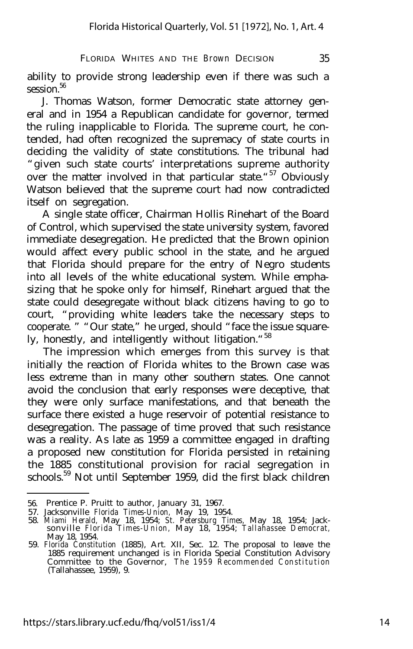ability to provide strong leadership even if there was such a session.<sup>56</sup>

J. Thomas Watson, former Democratic state attorney general and in 1954 a Republican candidate for governor, termed the ruling inapplicable to Florida. The supreme court, he contended, had often recognized the supremacy of state courts in deciding the validity of state constitutions. The tribunal had "given such state courts' interpretations supreme authority over the matter involved in that particular state."<sup>57</sup> Obviously Watson believed that the supreme court had now contradicted itself on segregation.

A single state officer, Chairman Hollis Rinehart of the Board of Control, which supervised the state university system, favored immediate desegregation. He predicted that the Brown opinion would affect every public school in the state, and he argued that Florida should prepare for the entry of Negro students into all levels of the white educational system. While emphasizing that he spoke only for himself, Rinehart argued that the state could desegregate without black citizens having to go to court, "providing white leaders take the necessary steps to cooperate. " "Our state," he urged, should "face the issue squarely, honestly, and intelligently without litigation."<sup>58</sup>

The impression which emerges from this survey is that initially the reaction of Florida whites to the Brown case was less extreme than in many other southern states. One cannot avoid the conclusion that early responses were deceptive, that they were only surface manifestations, and that beneath the surface there existed a huge reservoir of potential resistance to desegregation. The passage of time proved that such resistance was a reality. As late as 1959 a committee engaged in drafting a proposed new constitution for Florida persisted in retaining the 1885 constitutional provision for racial segregation in schools.<sup>59</sup> Not until September 1959, did the first black children

<sup>56.</sup> Prentice P. Pruitt to author, January 31, 1967.

<sup>57.</sup> Jacksonville *Florida Times-Union,* May 19, 1954. 58. *Miami Herald,* May 18, 1954; *St. Petersburg Times,* May 18, 1954; Jacksonville *Florida Times-Union,* May 18, 1954; *Tallahassee Democrat,* May 18, 1954.

<sup>59.</sup> *Florida Constitution* (1885), Art. XII, Sec. 12. The proposal to leave the 1885 requirement unchanged is in Florida Special Constitution Advisory Committee to the Governor, *The 1959 Recommended Constitution* (Tallahassee, 1959), 9.